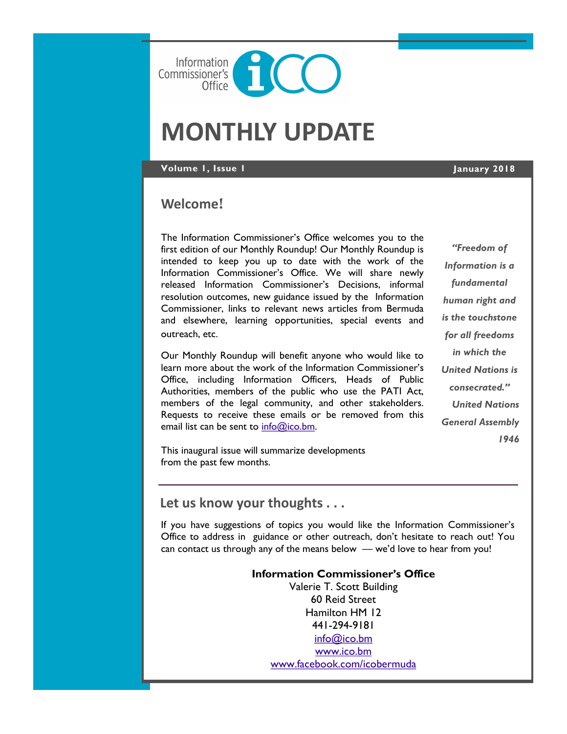

# **MONTHLY UPDATE**

**Volume 1, Issue 1 January 2018**

*"Freedom of* 

## **Welcome**!

The Information Commissioner's Office welcomes you to the first edition of our Monthly Roundup! Our Monthly Roundup is intended to keep you up to date with the work of the Information Commissioner's Office. We will share newly released Information Commissioner's Decisions, informal resolution outcomes, new guidance issued by the Information Commissioner, links to relevant news articles from Bermuda and elsewhere, learning opportunities, special events and outreach, etc.

Our Monthly Roundup will benefit anyone who would like to learn more about the work of the Information Commissioner's Office, including Information Officers, Heads of Public Authorities, members of the public who use the PATI Act, members of the legal community, and other stakeholders. Requests to receive these emails or be removed from this email list can be sent to [info@ico.bm.](mailto:info@ico.bm)

*Information is a fundamental human right and is the touchstone for all freedoms in which the United Nations is consecrated." United Nations General Assembly 1946*

This inaugural issue will summarize developments from the past few months.

## **Let us know your thoughts . . .**

If you have suggestions of topics you would like the Information Commissioner's Office to address in guidance or other outreach, don't hesitate to reach out! You can contact us through any of the means below — we'd love to hear from you!

### **Information Commissioner's Office**

Valerie T. Scott Building 60 Reid Street Hamilton HM 12 441-294-9181 [info@ico.bm](mailto:info@ico.bm) [www.ico.bm](http://www.ico.bm) [www.facebook.com/icobermuda](http://www.facebook.com/icobermuda/ICOFS01S/Folder-Redirection$/gsgutierrez/Documents/Admin)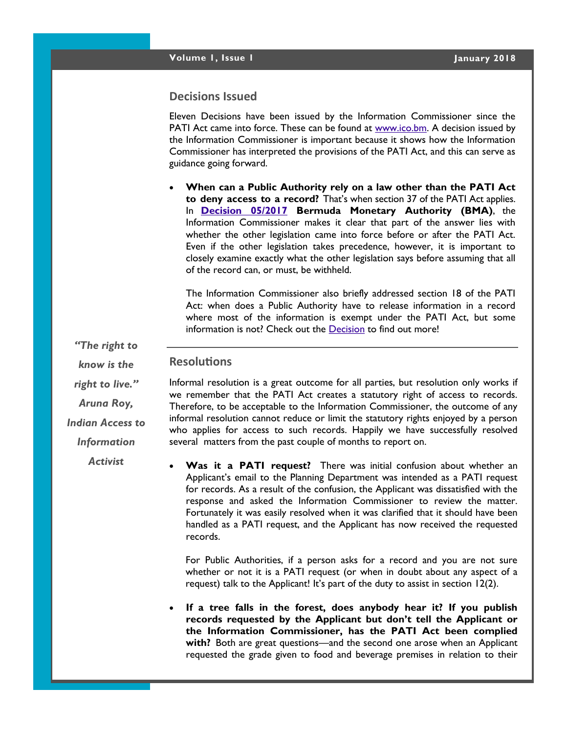### **Decisions Issued**

**Resolutions**

Eleven Decisions have been issued by the Information Commissioner since the PATI Act came into force. These can be found at [www.ico.bm.](http://www.ico.bm) A decision issued by the Information Commissioner is important because it shows how the Information Commissioner has interpreted the provisions of the PATI Act, and this can serve as guidance going forward.

 **When can a Public Authority rely on a law other than the PATI Act to deny access to a record?** That's when section 37 of the PATI Act applies. In **[Decision 05/2017](http://docs.wixstatic.com/ugd/5803dc_a4679fc1e85944deaeba1b8742b0a232.pdf) Bermuda Monetary Authority (BMA)**, the Information Commissioner makes it clear that part of the answer lies with whether the other legislation came into force before or after the PATI Act. Even if the other legislation takes precedence, however, it is important to closely examine exactly what the other legislation says before assuming that all of the record can, or must, be withheld.

The Information Commissioner also briefly addressed section 18 of the PATI Act: when does a Public Authority have to release information in a record where most of the information is exempt under the PATI Act, but some information is not? Check out the [Decision](http://docs.wixstatic.com/ugd/5803dc_a4679fc1e85944deaeba1b8742b0a232.pdf/ICOFS01S/Folder-Redirection$/gsgutierrez/Documents/Admin) to find out more!

*"The right to know is the right to live." Aruna Roy, Indian Access to Information Activist*

Informal resolution is a great outcome for all parties, but resolution only works if we remember that the PATI Act creates a statutory right of access to records. Therefore, to be acceptable to the Information Commissioner, the outcome of any informal resolution cannot reduce or limit the statutory rights enjoyed by a person who applies for access to such records. Happily we have successfully resolved several matters from the past couple of months to report on.

 **Was it a PATI request?** There was initial confusion about whether an Applicant's email to the Planning Department was intended as a PATI request for records. As a result of the confusion, the Applicant was dissatisfied with the response and asked the Information Commissioner to review the matter. Fortunately it was easily resolved when it was clarified that it should have been handled as a PATI request, and the Applicant has now received the requested records.

For Public Authorities, if a person asks for a record and you are not sure whether or not it is a PATI request (or when in doubt about any aspect of a request) talk to the Applicant! It's part of the duty to assist in section 12(2).

 **If a tree falls in the forest, does anybody hear it? If you publish records requested by the Applicant but don't tell the Applicant or the Information Commissioner, has the PATI Act been complied with?** Both are great questions—and the second one arose when an Applicant requested the grade given to food and beverage premises in relation to their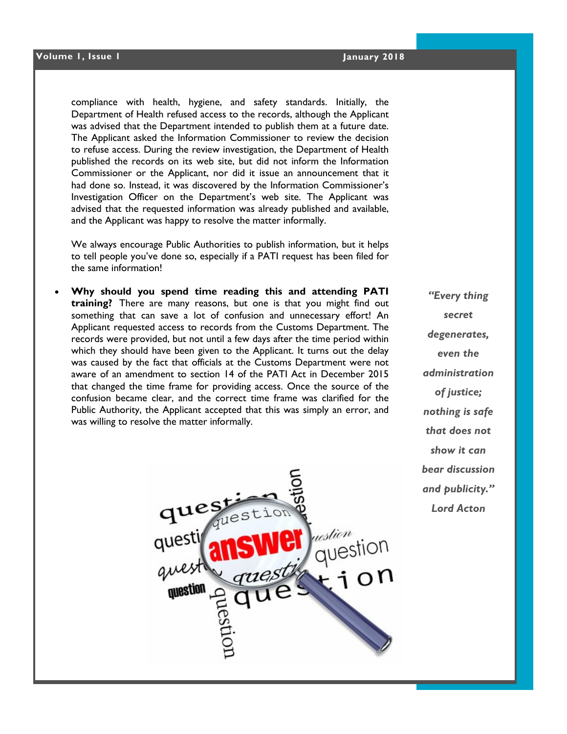compliance with health, hygiene, and safety standards. Initially, the Department of Health refused access to the records, although the Applicant was advised that the Department intended to publish them at a future date. The Applicant asked the Information Commissioner to review the decision to refuse access. During the review investigation, the Department of Health published the records on its web site, but did not inform the Information Commissioner or the Applicant, nor did it issue an announcement that it had done so. Instead, it was discovered by the Information Commissioner's Investigation Officer on the Department's web site. The Applicant was advised that the requested information was already published and available, and the Applicant was happy to resolve the matter informally.

We always encourage Public Authorities to publish information, but it helps to tell people you've done so, especially if a PATI request has been filed for the same information!

 **Why should you spend time reading this and attending PATI training?** There are many reasons, but one is that you might find out something that can save a lot of confusion and unnecessary effort! An Applicant requested access to records from the Customs Department. The records were provided, but not until a few days after the time period within which they should have been given to the Applicant. It turns out the delay was caused by the fact that officials at the Customs Department were not aware of an amendment to section 14 of the PATI Act in December 2015 that changed the time frame for providing access. Once the source of the confusion became clear, and the correct time frame was clarified for the Public Authority, the Applicant accepted that this was simply an error, and was willing to resolve the matter informally.



*secret degenerates, even the administration of justice; nothing is safe that does not show it can bear discussion and publicity." Lord Acton*

*"Every thing*